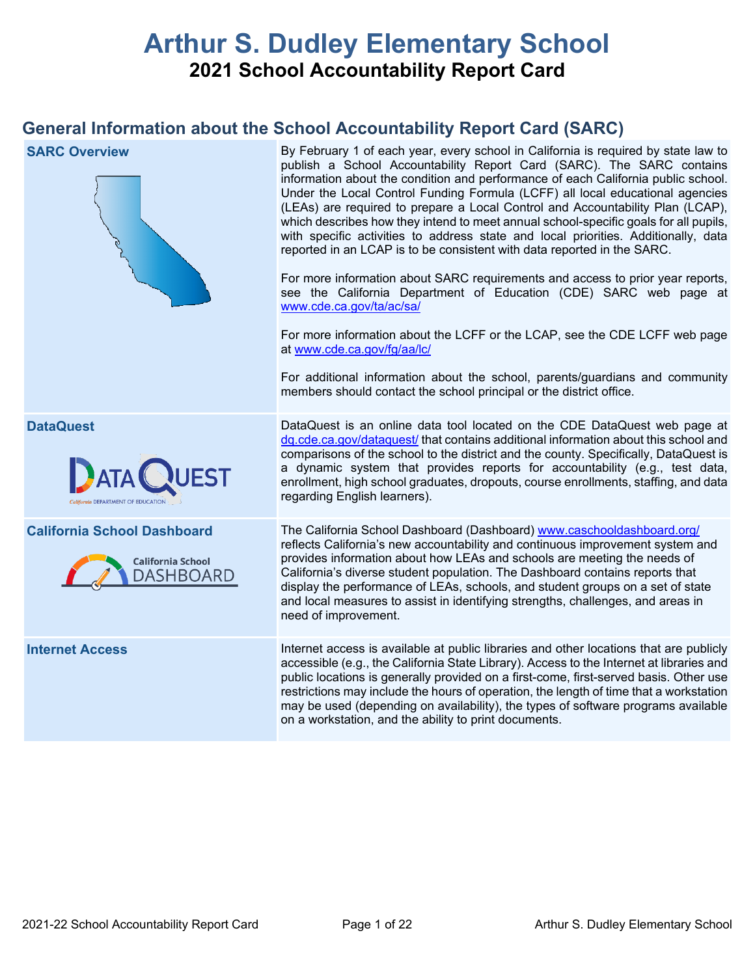# **Arthur S. Dudley Elementary School 2021 School Accountability Report Card**

## **General Information about the School Accountability Report Card (SARC)**

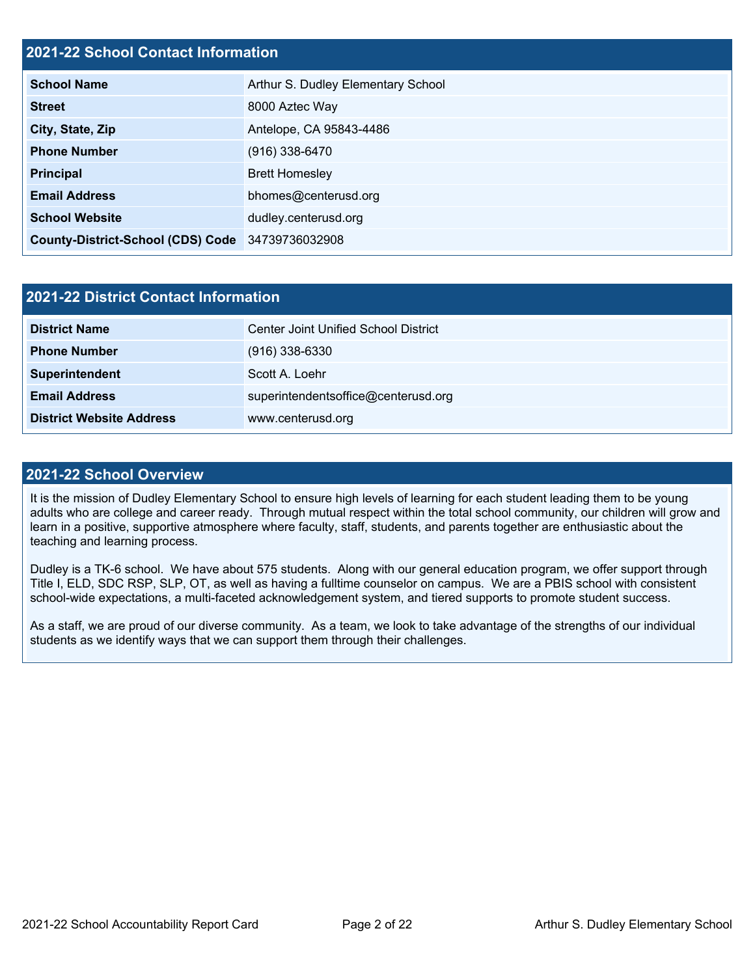## **2021-22 School Contact Information**

| <b>School Name</b>                               | Arthur S. Dudley Elementary School |  |  |  |  |
|--------------------------------------------------|------------------------------------|--|--|--|--|
| <b>Street</b>                                    | 8000 Aztec Way                     |  |  |  |  |
| City, State, Zip                                 | Antelope, CA 95843-4486            |  |  |  |  |
| <b>Phone Number</b>                              | $(916)$ 338-6470                   |  |  |  |  |
| <b>Principal</b>                                 | <b>Brett Homesley</b>              |  |  |  |  |
| <b>Email Address</b>                             | bhomes@centerusd.org               |  |  |  |  |
| <b>School Website</b>                            | dudley.centerusd.org               |  |  |  |  |
| County-District-School (CDS) Code 34739736032908 |                                    |  |  |  |  |

| 2021-22 District Contact Information |                                      |  |  |  |
|--------------------------------------|--------------------------------------|--|--|--|
| <b>District Name</b>                 | Center Joint Unified School District |  |  |  |
| <b>Phone Number</b>                  | $(916)$ 338-6330                     |  |  |  |
| Superintendent                       | Scott A. Loehr                       |  |  |  |
| <b>Email Address</b>                 | superintendentsoffice@centerusd.org  |  |  |  |
| <b>District Website Address</b>      | www.centerusd.org                    |  |  |  |

#### **2021-22 School Overview**

It is the mission of Dudley Elementary School to ensure high levels of learning for each student leading them to be young adults who are college and career ready. Through mutual respect within the total school community, our children will grow and learn in a positive, supportive atmosphere where faculty, staff, students, and parents together are enthusiastic about the teaching and learning process.

Dudley is a TK-6 school. We have about 575 students. Along with our general education program, we offer support through Title I, ELD, SDC RSP, SLP, OT, as well as having a fulltime counselor on campus. We are a PBIS school with consistent school-wide expectations, a multi-faceted acknowledgement system, and tiered supports to promote student success.

As a staff, we are proud of our diverse community. As a team, we look to take advantage of the strengths of our individual students as we identify ways that we can support them through their challenges.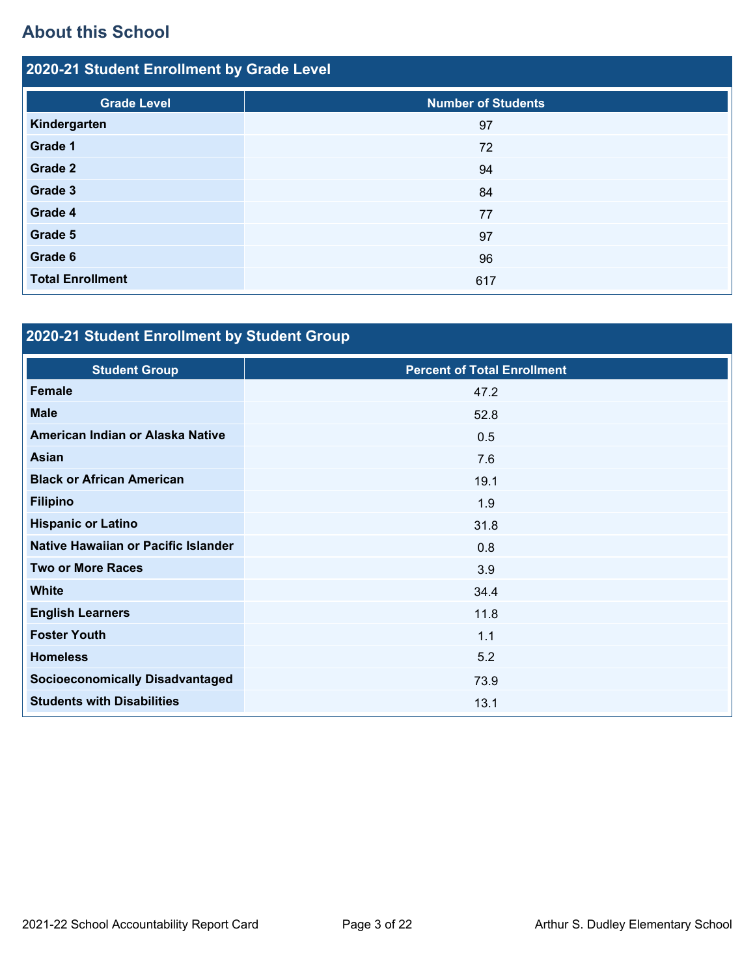## **About this School**

| 2020-21 Student Enrollment by Grade Level |                           |  |  |  |  |
|-------------------------------------------|---------------------------|--|--|--|--|
| <b>Grade Level</b>                        | <b>Number of Students</b> |  |  |  |  |
| Kindergarten                              | 97                        |  |  |  |  |
| Grade 1                                   | 72                        |  |  |  |  |
| Grade 2                                   | 94                        |  |  |  |  |
| Grade 3                                   | 84                        |  |  |  |  |
| Grade 4                                   | 77                        |  |  |  |  |
| Grade 5                                   | 97                        |  |  |  |  |
| Grade 6                                   | 96                        |  |  |  |  |
| <b>Total Enrollment</b>                   | 617                       |  |  |  |  |

## **2020-21 Student Enrollment by Student Group**

| <b>Student Group</b>                   | <b>Percent of Total Enrollment</b> |
|----------------------------------------|------------------------------------|
| Female                                 | 47.2                               |
| <b>Male</b>                            | 52.8                               |
| American Indian or Alaska Native       | 0.5                                |
| Asian                                  | 7.6                                |
| <b>Black or African American</b>       | 19.1                               |
| <b>Filipino</b>                        | 1.9                                |
| <b>Hispanic or Latino</b>              | 31.8                               |
| Native Hawaiian or Pacific Islander    | 0.8                                |
| <b>Two or More Races</b>               | 3.9                                |
| <b>White</b>                           | 34.4                               |
| <b>English Learners</b>                | 11.8                               |
| <b>Foster Youth</b>                    | 1.1                                |
| <b>Homeless</b>                        | 5.2                                |
| <b>Socioeconomically Disadvantaged</b> | 73.9                               |
| <b>Students with Disabilities</b>      | 13.1                               |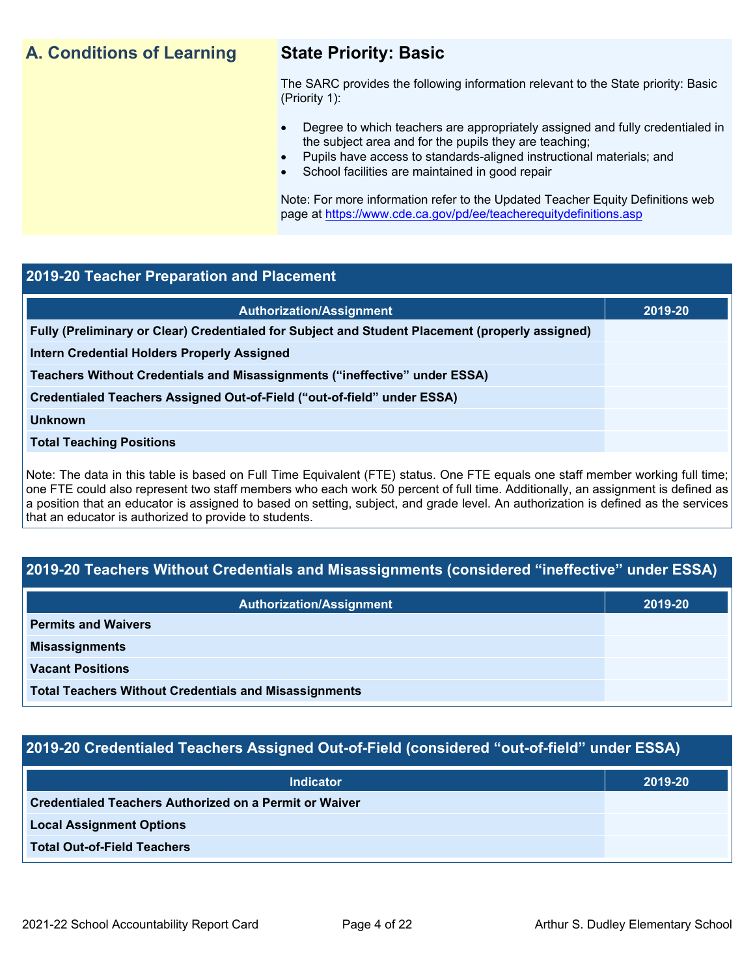## **A. Conditions of Learning State Priority: Basic**

The SARC provides the following information relevant to the State priority: Basic (Priority 1):

- Degree to which teachers are appropriately assigned and fully credentialed in the subject area and for the pupils they are teaching;
	- Pupils have access to standards-aligned instructional materials; and
- School facilities are maintained in good repair

Note: For more information refer to the Updated Teacher Equity Definitions web page at<https://www.cde.ca.gov/pd/ee/teacherequitydefinitions.asp>

## **2019-20 Teacher Preparation and Placement**

| <b>Authorization/Assignment</b>                                                                 | 2019-20 |
|-------------------------------------------------------------------------------------------------|---------|
| Fully (Preliminary or Clear) Credentialed for Subject and Student Placement (properly assigned) |         |
| <b>Intern Credential Holders Properly Assigned</b>                                              |         |
| Teachers Without Credentials and Misassignments ("ineffective" under ESSA)                      |         |
| Credentialed Teachers Assigned Out-of-Field ("out-of-field" under ESSA)                         |         |
| <b>Unknown</b>                                                                                  |         |
| <b>Total Teaching Positions</b>                                                                 |         |
|                                                                                                 |         |

Note: The data in this table is based on Full Time Equivalent (FTE) status. One FTE equals one staff member working full time; one FTE could also represent two staff members who each work 50 percent of full time. Additionally, an assignment is defined as a position that an educator is assigned to based on setting, subject, and grade level. An authorization is defined as the services that an educator is authorized to provide to students.

## **2019-20 Teachers Without Credentials and Misassignments (considered "ineffective" under ESSA)**

| <b>Authorization/Assignment</b>                              | 2019-20 |
|--------------------------------------------------------------|---------|
| <b>Permits and Waivers</b>                                   |         |
| <b>Misassignments</b>                                        |         |
| <b>Vacant Positions</b>                                      |         |
| <b>Total Teachers Without Credentials and Misassignments</b> |         |

## **2019-20 Credentialed Teachers Assigned Out-of-Field (considered "out-of-field" under ESSA)**

| <b>Indicator</b>                                       | 2019-20 |
|--------------------------------------------------------|---------|
| Credentialed Teachers Authorized on a Permit or Waiver |         |
| <b>Local Assignment Options</b>                        |         |
| <b>Total Out-of-Field Teachers</b>                     |         |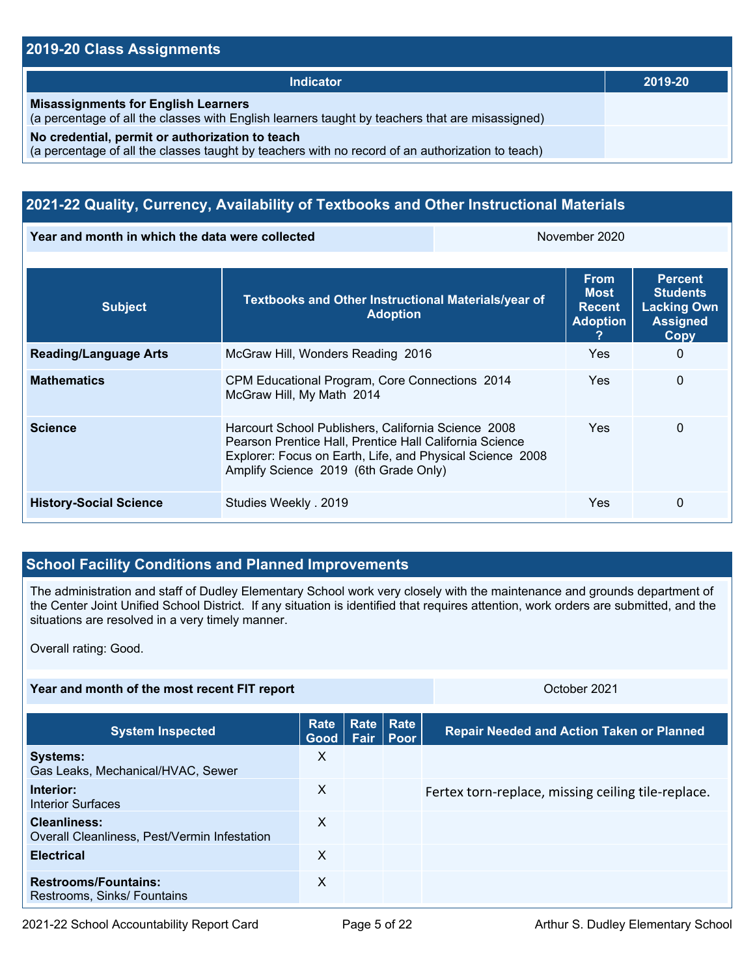### **2019-20 Class Assignments**

| Indicator                                                                                                                                           | 2019-20 |
|-----------------------------------------------------------------------------------------------------------------------------------------------------|---------|
| <b>Misassignments for English Learners</b><br>(a percentage of all the classes with English learners taught by teachers that are misassigned)       |         |
| No credential, permit or authorization to teach<br>(a percentage of all the classes taught by teachers with no record of an authorization to teach) |         |

## **2021-22 Quality, Currency, Availability of Textbooks and Other Instructional Materials**

**Year and month in which the data were collected** November 2020

| <b>Subject</b>                | Textbooks and Other Instructional Materials/year of<br><b>Adoption</b>                                                                                                                                               | <b>From</b><br>Most<br><b>Recent</b><br><b>Adoption</b> | <b>Percent</b><br><b>Students</b><br><b>Lacking Own</b><br><b>Assigned</b><br><b>Copy</b> |
|-------------------------------|----------------------------------------------------------------------------------------------------------------------------------------------------------------------------------------------------------------------|---------------------------------------------------------|-------------------------------------------------------------------------------------------|
| <b>Reading/Language Arts</b>  | McGraw Hill, Wonders Reading 2016                                                                                                                                                                                    | <b>Yes</b>                                              | 0                                                                                         |
| <b>Mathematics</b>            | CPM Educational Program, Core Connections 2014<br>McGraw Hill, My Math 2014                                                                                                                                          | <b>Yes</b>                                              | 0                                                                                         |
| <b>Science</b>                | Harcourt School Publishers, California Science 2008<br>Pearson Prentice Hall, Prentice Hall California Science<br>Explorer: Focus on Earth, Life, and Physical Science 2008<br>Amplify Science 2019 (6th Grade Only) | Yes.                                                    | 0                                                                                         |
| <b>History-Social Science</b> | Studies Weekly . 2019                                                                                                                                                                                                | <b>Yes</b>                                              | $\Omega$                                                                                  |

## **School Facility Conditions and Planned Improvements**

The administration and staff of Dudley Elementary School work very closely with the maintenance and grounds department of the Center Joint Unified School District. If any situation is identified that requires attention, work orders are submitted, and the situations are resolved in a very timely manner.

Overall rating: Good.

## **Year and month of the most recent FIT report CENTER AND THE SET AND THE SET AND THE SET AND THE SET AND THE SET AND THE SET AND THE SET AND THE SET AND THE SET AND THE SET AND THE SET AND THE SET AND THE SET AND THE SET**

| <b>System Inspected</b>                                      | Rate<br>Good | Fair | Rate Rate<br><b>∣ Poor</b> | <b>Repair Needed and Action Taken or Planned</b>   |
|--------------------------------------------------------------|--------------|------|----------------------------|----------------------------------------------------|
| <b>Systems:</b><br>Gas Leaks, Mechanical/HVAC, Sewer         | X            |      |                            |                                                    |
| Interior:<br><b>Interior Surfaces</b>                        | X            |      |                            | Fertex torn-replace, missing ceiling tile-replace. |
| Cleanliness:<br>Overall Cleanliness, Pest/Vermin Infestation | X            |      |                            |                                                    |
| <b>Electrical</b>                                            | X            |      |                            |                                                    |
| <b>Restrooms/Fountains:</b><br>Restrooms, Sinks/ Fountains   | X            |      |                            |                                                    |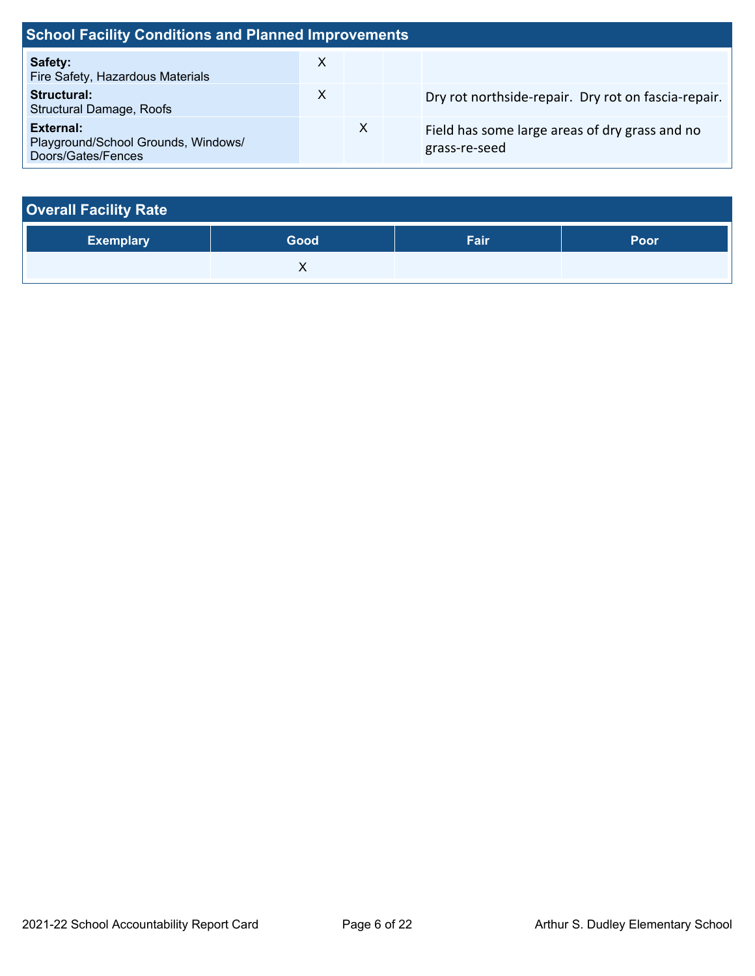| <b>School Facility Conditions and Planned Improvements</b>                    |   |   |  |                                                                 |  |  |
|-------------------------------------------------------------------------------|---|---|--|-----------------------------------------------------------------|--|--|
| Safety:<br>Fire Safety, Hazardous Materials                                   | X |   |  |                                                                 |  |  |
| Structural:<br><b>Structural Damage, Roofs</b>                                | X |   |  | Dry rot northside-repair. Dry rot on fascia-repair.             |  |  |
| <b>External:</b><br>Playground/School Grounds, Windows/<br>Doors/Gates/Fences |   | X |  | Field has some large areas of dry grass and no<br>grass-re-seed |  |  |

| <b>Overall Facility Rate</b> |      |      |      |  |  |  |
|------------------------------|------|------|------|--|--|--|
| <b>Exemplary</b>             | Good | Fair | Poor |  |  |  |
|                              |      |      |      |  |  |  |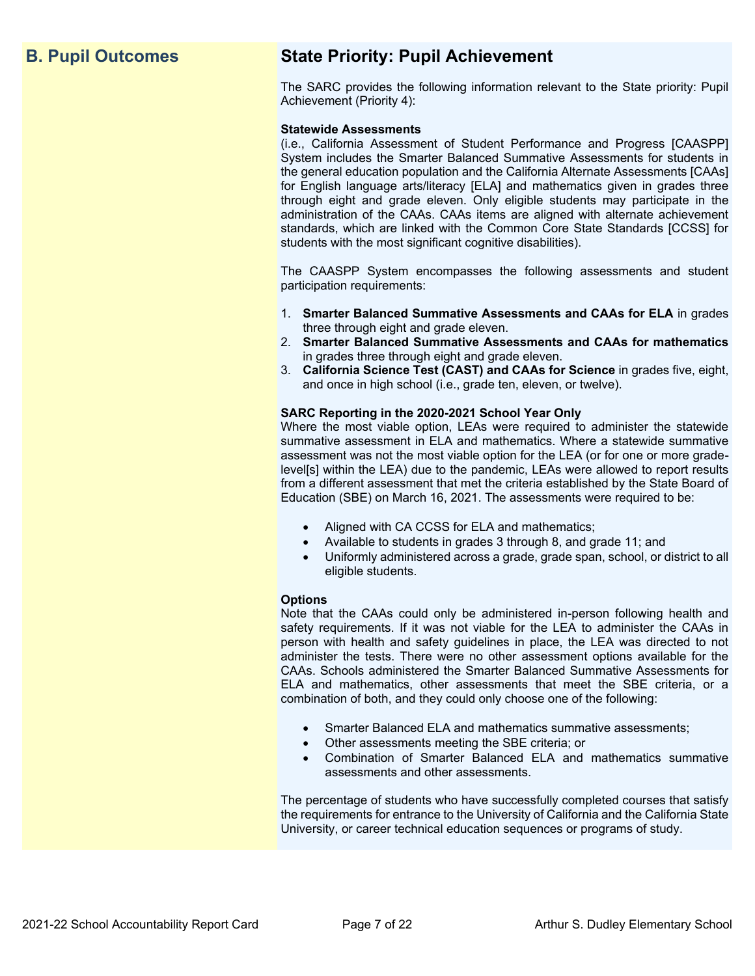## **B. Pupil Outcomes State Priority: Pupil Achievement**

The SARC provides the following information relevant to the State priority: Pupil Achievement (Priority 4):

#### **Statewide Assessments**

(i.e., California Assessment of Student Performance and Progress [CAASPP] System includes the Smarter Balanced Summative Assessments for students in the general education population and the California Alternate Assessments [CAAs] for English language arts/literacy [ELA] and mathematics given in grades three through eight and grade eleven. Only eligible students may participate in the administration of the CAAs. CAAs items are aligned with alternate achievement standards, which are linked with the Common Core State Standards [CCSS] for students with the most significant cognitive disabilities).

The CAASPP System encompasses the following assessments and student participation requirements:

- 1. **Smarter Balanced Summative Assessments and CAAs for ELA** in grades three through eight and grade eleven.
- 2. **Smarter Balanced Summative Assessments and CAAs for mathematics** in grades three through eight and grade eleven.
- 3. **California Science Test (CAST) and CAAs for Science** in grades five, eight, and once in high school (i.e., grade ten, eleven, or twelve).

#### **SARC Reporting in the 2020-2021 School Year Only**

Where the most viable option, LEAs were required to administer the statewide summative assessment in ELA and mathematics. Where a statewide summative assessment was not the most viable option for the LEA (or for one or more gradelevel[s] within the LEA) due to the pandemic, LEAs were allowed to report results from a different assessment that met the criteria established by the State Board of Education (SBE) on March 16, 2021. The assessments were required to be:

- Aligned with CA CCSS for ELA and mathematics;
- Available to students in grades 3 through 8, and grade 11; and
- Uniformly administered across a grade, grade span, school, or district to all eligible students.

#### **Options**

Note that the CAAs could only be administered in-person following health and safety requirements. If it was not viable for the LEA to administer the CAAs in person with health and safety guidelines in place, the LEA was directed to not administer the tests. There were no other assessment options available for the CAAs. Schools administered the Smarter Balanced Summative Assessments for ELA and mathematics, other assessments that meet the SBE criteria, or a combination of both, and they could only choose one of the following:

- Smarter Balanced ELA and mathematics summative assessments;
- Other assessments meeting the SBE criteria; or
- Combination of Smarter Balanced ELA and mathematics summative assessments and other assessments.

The percentage of students who have successfully completed courses that satisfy the requirements for entrance to the University of California and the California State University, or career technical education sequences or programs of study.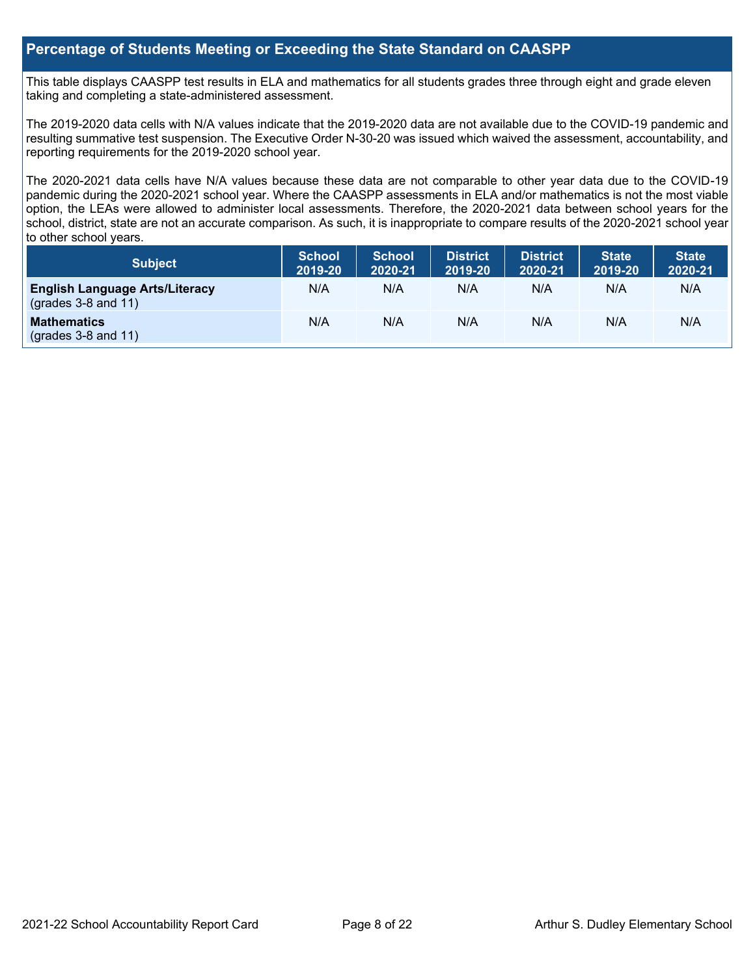## **Percentage of Students Meeting or Exceeding the State Standard on CAASPP**

This table displays CAASPP test results in ELA and mathematics for all students grades three through eight and grade eleven taking and completing a state-administered assessment.

The 2019-2020 data cells with N/A values indicate that the 2019-2020 data are not available due to the COVID-19 pandemic and resulting summative test suspension. The Executive Order N-30-20 was issued which waived the assessment, accountability, and reporting requirements for the 2019-2020 school year.

The 2020-2021 data cells have N/A values because these data are not comparable to other year data due to the COVID-19 pandemic during the 2020-2021 school year. Where the CAASPP assessments in ELA and/or mathematics is not the most viable option, the LEAs were allowed to administer local assessments. Therefore, the 2020-2021 data between school years for the school, district, state are not an accurate comparison. As such, it is inappropriate to compare results of the 2020-2021 school year to other school years.

| Subject                                                        | <b>School</b><br>2019-20 | <b>School</b><br>2020-21 | <b>District</b><br>2019-20 | <b>District</b><br>2020-21 | <b>State</b><br>2019-20 | <b>State</b><br>2020-21 |
|----------------------------------------------------------------|--------------------------|--------------------------|----------------------------|----------------------------|-------------------------|-------------------------|
| <b>English Language Arts/Literacy</b><br>$(grades 3-8 and 11)$ | N/A                      | N/A                      | N/A                        | N/A                        | N/A                     | N/A                     |
| <b>Mathematics</b><br>$($ grades 3-8 and 11 $)$                | N/A                      | N/A                      | N/A                        | N/A                        | N/A                     | N/A                     |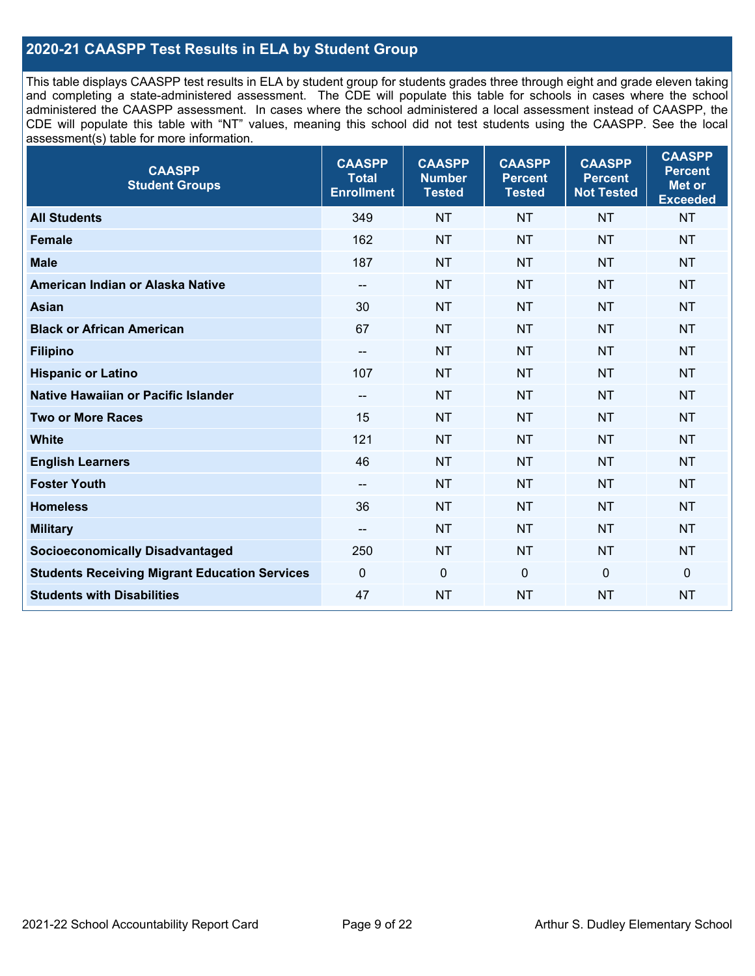## **2020-21 CAASPP Test Results in ELA by Student Group**

This table displays CAASPP test results in ELA by student group for students grades three through eight and grade eleven taking and completing a state-administered assessment. The CDE will populate this table for schools in cases where the school administered the CAASPP assessment. In cases where the school administered a local assessment instead of CAASPP, the CDE will populate this table with "NT" values, meaning this school did not test students using the CAASPP. See the local assessment(s) table for more information.

| <b>CAASPP</b><br><b>Student Groups</b>               | <b>CAASPP</b><br><b>Total</b><br><b>Enrollment</b> | <b>CAASPP</b><br><b>Number</b><br><b>Tested</b> | <b>CAASPP</b><br><b>Percent</b><br><b>Tested</b> | <b>CAASPP</b><br><b>Percent</b><br><b>Not Tested</b> | <b>CAASPP</b><br><b>Percent</b><br><b>Met or</b><br><b>Exceeded</b> |
|------------------------------------------------------|----------------------------------------------------|-------------------------------------------------|--------------------------------------------------|------------------------------------------------------|---------------------------------------------------------------------|
| <b>All Students</b>                                  | 349                                                | <b>NT</b>                                       | <b>NT</b>                                        | <b>NT</b>                                            | <b>NT</b>                                                           |
| <b>Female</b>                                        | 162                                                | <b>NT</b>                                       | <b>NT</b>                                        | <b>NT</b>                                            | <b>NT</b>                                                           |
| <b>Male</b>                                          | 187                                                | <b>NT</b>                                       | <b>NT</b>                                        | <b>NT</b>                                            | <b>NT</b>                                                           |
| American Indian or Alaska Native                     | $\overline{\phantom{a}}$                           | <b>NT</b>                                       | <b>NT</b>                                        | <b>NT</b>                                            | <b>NT</b>                                                           |
| <b>Asian</b>                                         | 30                                                 | <b>NT</b>                                       | <b>NT</b>                                        | <b>NT</b>                                            | <b>NT</b>                                                           |
| <b>Black or African American</b>                     | 67                                                 | NT                                              | <b>NT</b>                                        | <b>NT</b>                                            | <b>NT</b>                                                           |
| <b>Filipino</b>                                      | --                                                 | <b>NT</b>                                       | <b>NT</b>                                        | <b>NT</b>                                            | <b>NT</b>                                                           |
| <b>Hispanic or Latino</b>                            | 107                                                | <b>NT</b>                                       | <b>NT</b>                                        | <b>NT</b>                                            | <b>NT</b>                                                           |
| <b>Native Hawaiian or Pacific Islander</b>           | --                                                 | <b>NT</b>                                       | <b>NT</b>                                        | <b>NT</b>                                            | <b>NT</b>                                                           |
| <b>Two or More Races</b>                             | 15                                                 | <b>NT</b>                                       | <b>NT</b>                                        | <b>NT</b>                                            | <b>NT</b>                                                           |
| <b>White</b>                                         | 121                                                | <b>NT</b>                                       | <b>NT</b>                                        | <b>NT</b>                                            | <b>NT</b>                                                           |
| <b>English Learners</b>                              | 46                                                 | <b>NT</b>                                       | <b>NT</b>                                        | <b>NT</b>                                            | <b>NT</b>                                                           |
| <b>Foster Youth</b>                                  | --                                                 | <b>NT</b>                                       | <b>NT</b>                                        | <b>NT</b>                                            | <b>NT</b>                                                           |
| <b>Homeless</b>                                      | 36                                                 | <b>NT</b>                                       | <b>NT</b>                                        | <b>NT</b>                                            | <b>NT</b>                                                           |
| <b>Military</b>                                      | --                                                 | <b>NT</b>                                       | <b>NT</b>                                        | <b>NT</b>                                            | <b>NT</b>                                                           |
| <b>Socioeconomically Disadvantaged</b>               | 250                                                | <b>NT</b>                                       | <b>NT</b>                                        | <b>NT</b>                                            | <b>NT</b>                                                           |
| <b>Students Receiving Migrant Education Services</b> | $\Omega$                                           | $\mathbf 0$                                     | $\Omega$                                         | $\mathbf 0$                                          | 0                                                                   |
| <b>Students with Disabilities</b>                    | 47                                                 | <b>NT</b>                                       | <b>NT</b>                                        | <b>NT</b>                                            | <b>NT</b>                                                           |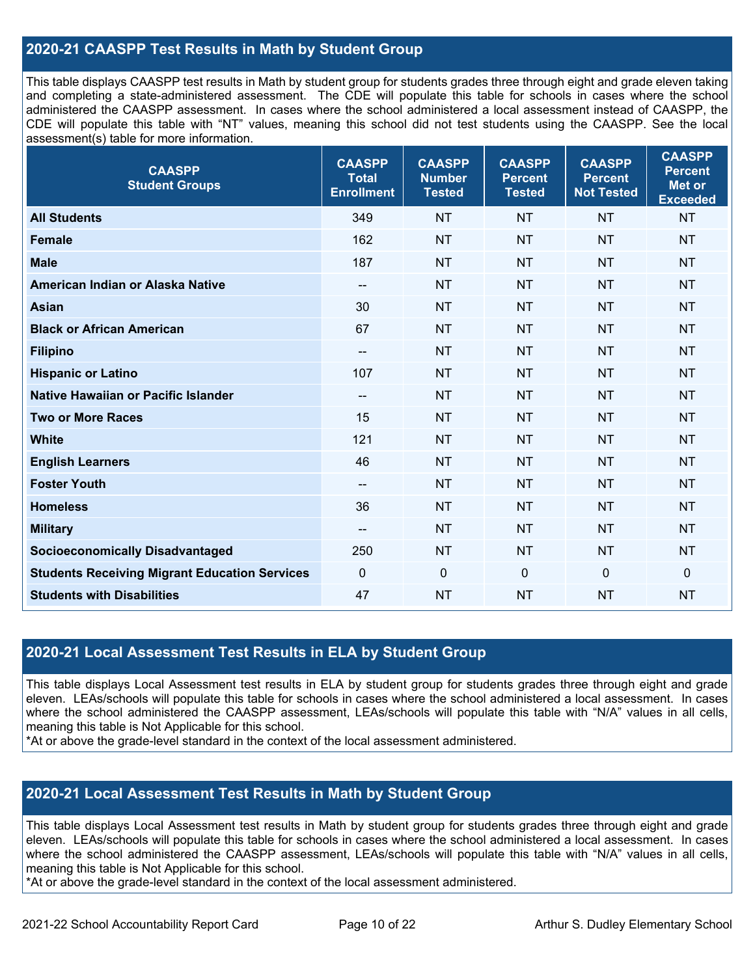## **2020-21 CAASPP Test Results in Math by Student Group**

This table displays CAASPP test results in Math by student group for students grades three through eight and grade eleven taking and completing a state-administered assessment. The CDE will populate this table for schools in cases where the school administered the CAASPP assessment. In cases where the school administered a local assessment instead of CAASPP, the CDE will populate this table with "NT" values, meaning this school did not test students using the CAASPP. See the local assessment(s) table for more information.

| <b>CAASPP</b><br><b>Student Groups</b>               | <b>CAASPP</b><br><b>Total</b><br><b>Enrollment</b> | <b>CAASPP</b><br><b>Number</b><br><b>Tested</b> | <b>CAASPP</b><br><b>Percent</b><br><b>Tested</b> | <b>CAASPP</b><br><b>Percent</b><br><b>Not Tested</b> | <b>CAASPP</b><br><b>Percent</b><br>Met or<br><b>Exceeded</b> |
|------------------------------------------------------|----------------------------------------------------|-------------------------------------------------|--------------------------------------------------|------------------------------------------------------|--------------------------------------------------------------|
| <b>All Students</b>                                  | 349                                                | <b>NT</b>                                       | <b>NT</b>                                        | <b>NT</b>                                            | <b>NT</b>                                                    |
| <b>Female</b>                                        | 162                                                | <b>NT</b>                                       | <b>NT</b>                                        | <b>NT</b>                                            | <b>NT</b>                                                    |
| <b>Male</b>                                          | 187                                                | <b>NT</b>                                       | <b>NT</b>                                        | <b>NT</b>                                            | <b>NT</b>                                                    |
| American Indian or Alaska Native                     | --                                                 | <b>NT</b>                                       | <b>NT</b>                                        | <b>NT</b>                                            | <b>NT</b>                                                    |
| Asian                                                | 30                                                 | <b>NT</b>                                       | <b>NT</b>                                        | <b>NT</b>                                            | <b>NT</b>                                                    |
| <b>Black or African American</b>                     | 67                                                 | NT                                              | <b>NT</b>                                        | <b>NT</b>                                            | <b>NT</b>                                                    |
| <b>Filipino</b>                                      | --                                                 | <b>NT</b>                                       | <b>NT</b>                                        | <b>NT</b>                                            | <b>NT</b>                                                    |
| <b>Hispanic or Latino</b>                            | 107                                                | <b>NT</b>                                       | <b>NT</b>                                        | <b>NT</b>                                            | <b>NT</b>                                                    |
| <b>Native Hawaiian or Pacific Islander</b>           | --                                                 | <b>NT</b>                                       | <b>NT</b>                                        | <b>NT</b>                                            | <b>NT</b>                                                    |
| <b>Two or More Races</b>                             | 15                                                 | <b>NT</b>                                       | <b>NT</b>                                        | <b>NT</b>                                            | <b>NT</b>                                                    |
| <b>White</b>                                         | 121                                                | <b>NT</b>                                       | <b>NT</b>                                        | <b>NT</b>                                            | <b>NT</b>                                                    |
| <b>English Learners</b>                              | 46                                                 | <b>NT</b>                                       | <b>NT</b>                                        | <b>NT</b>                                            | <b>NT</b>                                                    |
| <b>Foster Youth</b>                                  | --                                                 | <b>NT</b>                                       | <b>NT</b>                                        | <b>NT</b>                                            | <b>NT</b>                                                    |
| <b>Homeless</b>                                      | 36                                                 | <b>NT</b>                                       | <b>NT</b>                                        | <b>NT</b>                                            | <b>NT</b>                                                    |
| <b>Military</b>                                      | --                                                 | <b>NT</b>                                       | <b>NT</b>                                        | <b>NT</b>                                            | <b>NT</b>                                                    |
| <b>Socioeconomically Disadvantaged</b>               | 250                                                | <b>NT</b>                                       | <b>NT</b>                                        | <b>NT</b>                                            | <b>NT</b>                                                    |
| <b>Students Receiving Migrant Education Services</b> | $\mathbf{0}$                                       | $\mathbf 0$                                     | $\mathbf 0$                                      | $\mathbf 0$                                          | 0                                                            |
| <b>Students with Disabilities</b>                    | 47                                                 | <b>NT</b>                                       | <b>NT</b>                                        | <b>NT</b>                                            | <b>NT</b>                                                    |

## **2020-21 Local Assessment Test Results in ELA by Student Group**

This table displays Local Assessment test results in ELA by student group for students grades three through eight and grade eleven. LEAs/schools will populate this table for schools in cases where the school administered a local assessment. In cases where the school administered the CAASPP assessment, LEAs/schools will populate this table with "N/A" values in all cells, meaning this table is Not Applicable for this school.

\*At or above the grade-level standard in the context of the local assessment administered.

## **2020-21 Local Assessment Test Results in Math by Student Group**

This table displays Local Assessment test results in Math by student group for students grades three through eight and grade eleven. LEAs/schools will populate this table for schools in cases where the school administered a local assessment. In cases where the school administered the CAASPP assessment, LEAs/schools will populate this table with "N/A" values in all cells, meaning this table is Not Applicable for this school.

\*At or above the grade-level standard in the context of the local assessment administered.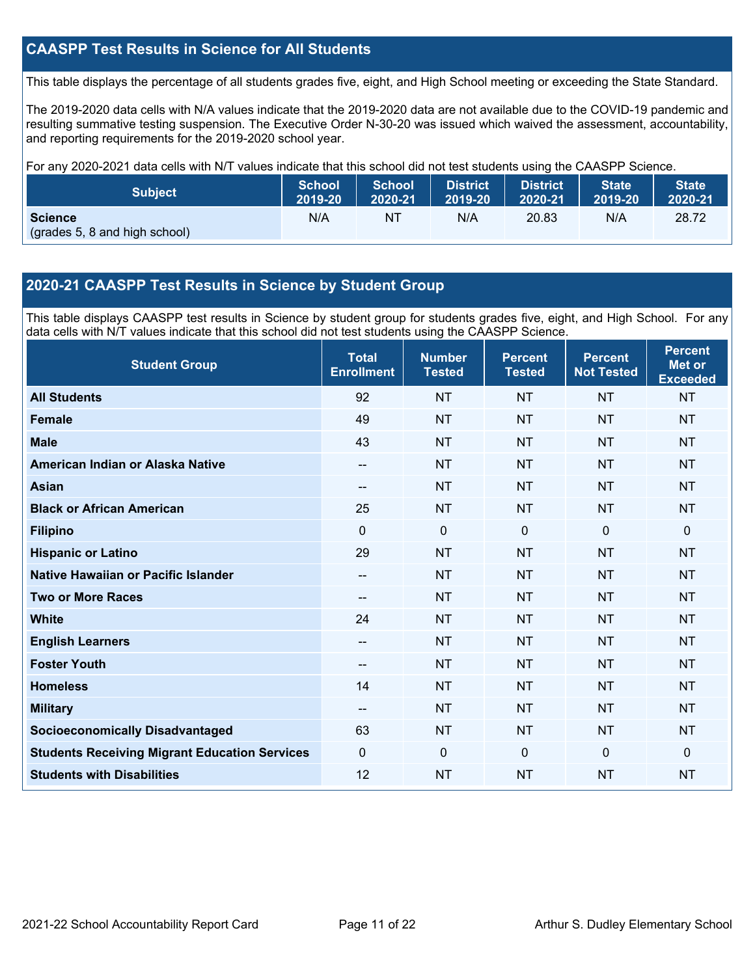## **CAASPP Test Results in Science for All Students**

This table displays the percentage of all students grades five, eight, and High School meeting or exceeding the State Standard.

The 2019-2020 data cells with N/A values indicate that the 2019-2020 data are not available due to the COVID-19 pandemic and resulting summative testing suspension. The Executive Order N-30-20 was issued which waived the assessment, accountability, and reporting requirements for the 2019-2020 school year.

For any 2020-2021 data cells with N/T values indicate that this school did not test students using the CAASPP Science.

| <b>Subject</b>                                  | <b>School</b> | <b>School</b> | <b>District</b> | District | <b>State</b> | <b>State</b> |
|-------------------------------------------------|---------------|---------------|-----------------|----------|--------------|--------------|
|                                                 | 2019-20       | 2020-21       | 2019-20         | 2020-21  | 2019-20      | 2020-21      |
| <b>Science</b><br>(grades 5, 8 and high school) | N/A           | ΝT            | N/A             | 20.83    | N/A          | 28.72        |

## **2020-21 CAASPP Test Results in Science by Student Group**

This table displays CAASPP test results in Science by student group for students grades five, eight, and High School. For any data cells with N/T values indicate that this school did not test students using the CAASPP Science.

| <b>Student Group</b>                                 | <b>Total</b><br><b>Enrollment</b> | <b>Number</b><br><b>Tested</b> | <b>Percent</b><br><b>Tested</b> | <b>Percent</b><br><b>Not Tested</b> | <b>Percent</b><br><b>Met or</b><br><b>Exceeded</b> |
|------------------------------------------------------|-----------------------------------|--------------------------------|---------------------------------|-------------------------------------|----------------------------------------------------|
| <b>All Students</b>                                  | 92                                | <b>NT</b>                      | <b>NT</b>                       | <b>NT</b>                           | <b>NT</b>                                          |
| Female                                               | 49                                | <b>NT</b>                      | <b>NT</b>                       | <b>NT</b>                           | <b>NT</b>                                          |
| <b>Male</b>                                          | 43                                | <b>NT</b>                      | <b>NT</b>                       | <b>NT</b>                           | <b>NT</b>                                          |
| American Indian or Alaska Native                     | $\hspace{0.05cm} \ldots$          | <b>NT</b>                      | <b>NT</b>                       | <b>NT</b>                           | <b>NT</b>                                          |
| <b>Asian</b>                                         | --                                | <b>NT</b>                      | <b>NT</b>                       | <b>NT</b>                           | <b>NT</b>                                          |
| <b>Black or African American</b>                     | 25                                | <b>NT</b>                      | <b>NT</b>                       | <b>NT</b>                           | <b>NT</b>                                          |
| <b>Filipino</b>                                      | $\Omega$                          | $\mathbf 0$                    | $\mathbf{0}$                    | $\mathbf 0$                         | $\mathbf 0$                                        |
| <b>Hispanic or Latino</b>                            | 29                                | <b>NT</b>                      | <b>NT</b>                       | <b>NT</b>                           | <b>NT</b>                                          |
| Native Hawaiian or Pacific Islander                  | $-$                               | <b>NT</b>                      | <b>NT</b>                       | <b>NT</b>                           | <b>NT</b>                                          |
| <b>Two or More Races</b>                             | --                                | <b>NT</b>                      | <b>NT</b>                       | <b>NT</b>                           | <b>NT</b>                                          |
| <b>White</b>                                         | 24                                | <b>NT</b>                      | <b>NT</b>                       | <b>NT</b>                           | <b>NT</b>                                          |
| <b>English Learners</b>                              | --                                | <b>NT</b>                      | <b>NT</b>                       | <b>NT</b>                           | <b>NT</b>                                          |
| <b>Foster Youth</b>                                  | --                                | <b>NT</b>                      | <b>NT</b>                       | <b>NT</b>                           | <b>NT</b>                                          |
| <b>Homeless</b>                                      | 14                                | <b>NT</b>                      | <b>NT</b>                       | <b>NT</b>                           | <b>NT</b>                                          |
| <b>Military</b>                                      | --                                | <b>NT</b>                      | <b>NT</b>                       | <b>NT</b>                           | <b>NT</b>                                          |
| <b>Socioeconomically Disadvantaged</b>               | 63                                | <b>NT</b>                      | <b>NT</b>                       | <b>NT</b>                           | <b>NT</b>                                          |
| <b>Students Receiving Migrant Education Services</b> | 0                                 | $\mathbf 0$                    | $\Omega$                        | $\Omega$                            | $\mathbf 0$                                        |
| <b>Students with Disabilities</b>                    | 12                                | <b>NT</b>                      | <b>NT</b>                       | <b>NT</b>                           | <b>NT</b>                                          |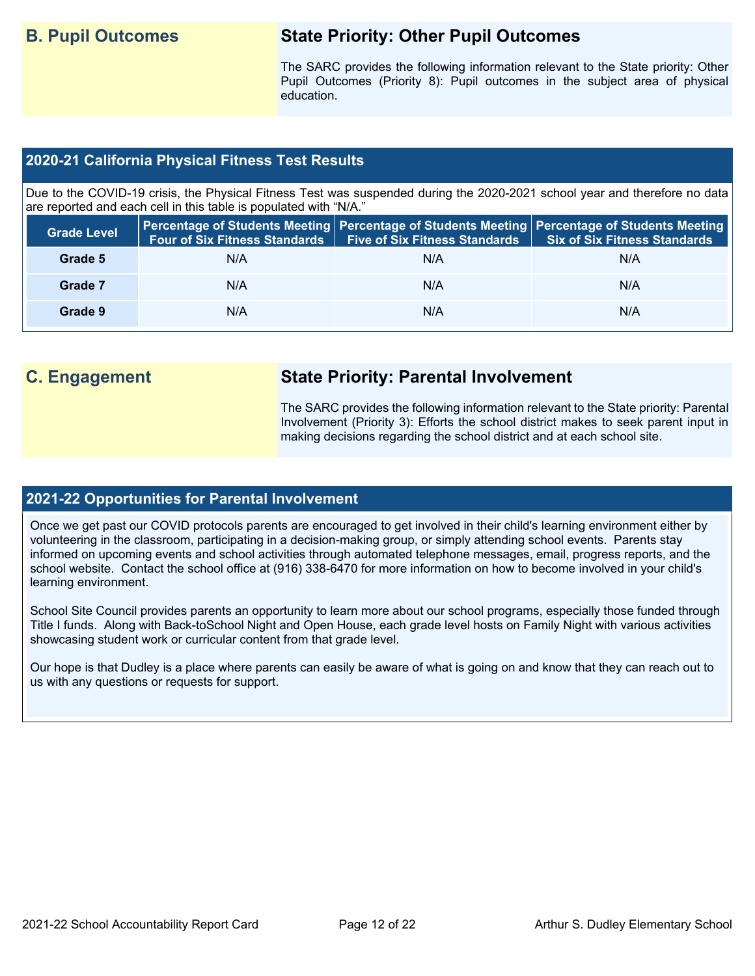## **B. Pupil Outcomes State Priority: Other Pupil Outcomes**

The SARC provides the following information relevant to the State priority: Other Pupil Outcomes (Priority 8): Pupil outcomes in the subject area of physical education.

## **2020-21 California Physical Fitness Test Results**

Due to the COVID-19 crisis, the Physical Fitness Test was suspended during the 2020-2021 school year and therefore no data are reported and each cell in this table is populated with "N/A."

| <b>Grade Level</b> | <b>Four of Six Fitness Standards</b> | <b>Five of Six Fitness Standards</b> | Percentage of Students Meeting   Percentage of Students Meeting   Percentage of Students Meeting<br><b>Six of Six Fitness Standards</b> |
|--------------------|--------------------------------------|--------------------------------------|-----------------------------------------------------------------------------------------------------------------------------------------|
| Grade 5            | N/A                                  | N/A                                  | N/A                                                                                                                                     |
| Grade 7            | N/A                                  | N/A                                  | N/A                                                                                                                                     |
| Grade 9            | N/A                                  | N/A                                  | N/A                                                                                                                                     |

## **C. Engagement State Priority: Parental Involvement**

The SARC provides the following information relevant to the State priority: Parental Involvement (Priority 3): Efforts the school district makes to seek parent input in making decisions regarding the school district and at each school site.

#### **2021-22 Opportunities for Parental Involvement**

Once we get past our COVID protocols parents are encouraged to get involved in their child's learning environment either by volunteering in the classroom, participating in a decision-making group, or simply attending school events. Parents stay informed on upcoming events and school activities through automated telephone messages, email, progress reports, and the school website. Contact the school office at (916) 338-6470 for more information on how to become involved in your child's learning environment.

School Site Council provides parents an opportunity to learn more about our school programs, especially those funded through Title I funds. Along with Back-toSchool Night and Open House, each grade level hosts on Family Night with various activities showcasing student work or curricular content from that grade level.

Our hope is that Dudley is a place where parents can easily be aware of what is going on and know that they can reach out to us with any questions or requests for support.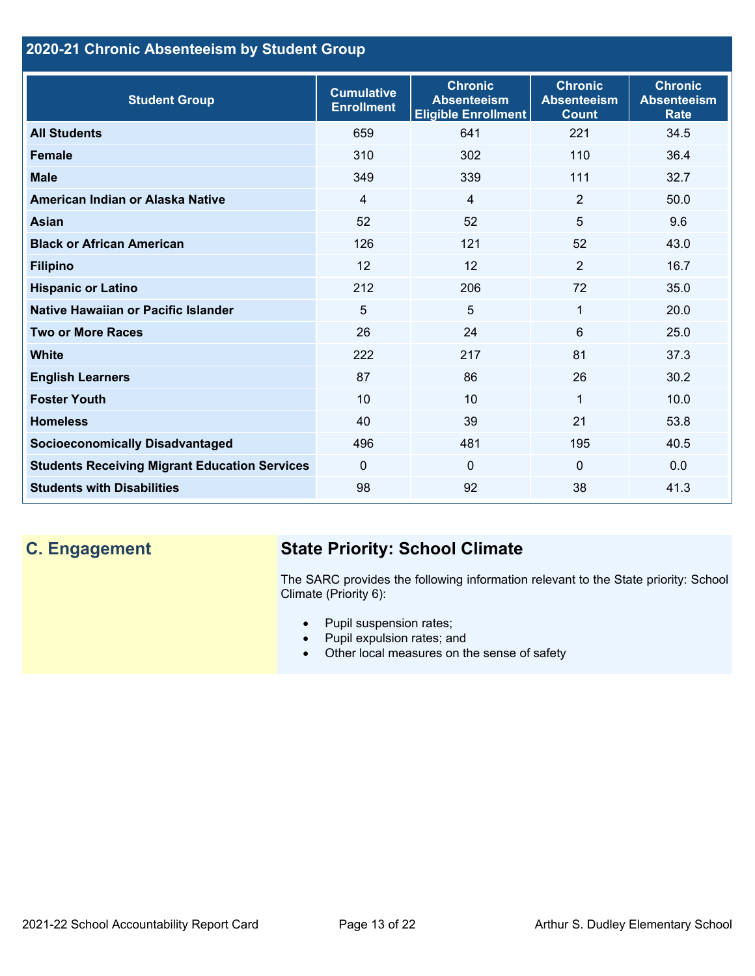## **2020-21 Chronic Absenteeism by Student Group**

| <b>Student Group</b>                                 | <b>Cumulative</b><br><b>Enrollment</b> | <b>Chronic</b><br><b>Absenteeism</b><br><b>Eligible Enrollment</b> | <b>Chronic</b><br><b>Absenteeism</b><br><b>Count</b> | <b>Chronic</b><br><b>Absenteeism</b><br><b>Rate</b> |
|------------------------------------------------------|----------------------------------------|--------------------------------------------------------------------|------------------------------------------------------|-----------------------------------------------------|
| <b>All Students</b>                                  | 659                                    | 641                                                                | 221                                                  | 34.5                                                |
| <b>Female</b>                                        | 310                                    | 302                                                                | 110                                                  | 36.4                                                |
| <b>Male</b>                                          | 349                                    | 339                                                                | 111                                                  | 32.7                                                |
| American Indian or Alaska Native                     | 4                                      | 4                                                                  | $\overline{2}$                                       | 50.0                                                |
| <b>Asian</b>                                         | 52                                     | 52                                                                 | 5                                                    | 9.6                                                 |
| <b>Black or African American</b>                     | 126                                    | 121                                                                | 52                                                   | 43.0                                                |
| <b>Filipino</b>                                      | 12                                     | 12                                                                 | $\overline{2}$                                       | 16.7                                                |
| <b>Hispanic or Latino</b>                            | 212                                    | 206                                                                | 72                                                   | 35.0                                                |
| Native Hawaiian or Pacific Islander                  | 5                                      | $\overline{5}$                                                     | $\mathbf{1}$                                         | 20.0                                                |
| <b>Two or More Races</b>                             | 26                                     | 24                                                                 | 6                                                    | 25.0                                                |
| <b>White</b>                                         | 222                                    | 217                                                                | 81                                                   | 37.3                                                |
| <b>English Learners</b>                              | 87                                     | 86                                                                 | 26                                                   | 30.2                                                |
| <b>Foster Youth</b>                                  | 10                                     | 10                                                                 | 1                                                    | 10.0                                                |
| <b>Homeless</b>                                      | 40                                     | 39                                                                 | 21                                                   | 53.8                                                |
| <b>Socioeconomically Disadvantaged</b>               | 496                                    | 481                                                                | 195                                                  | 40.5                                                |
| <b>Students Receiving Migrant Education Services</b> | $\mathbf{0}$                           | $\mathbf 0$                                                        | $\Omega$                                             | 0.0                                                 |
| <b>Students with Disabilities</b>                    | 98                                     | 92                                                                 | 38                                                   | 41.3                                                |

## **C. Engagement State Priority: School Climate**

The SARC provides the following information relevant to the State priority: School Climate (Priority 6):

- Pupil suspension rates;
- Pupil expulsion rates; and
- Other local measures on the sense of safety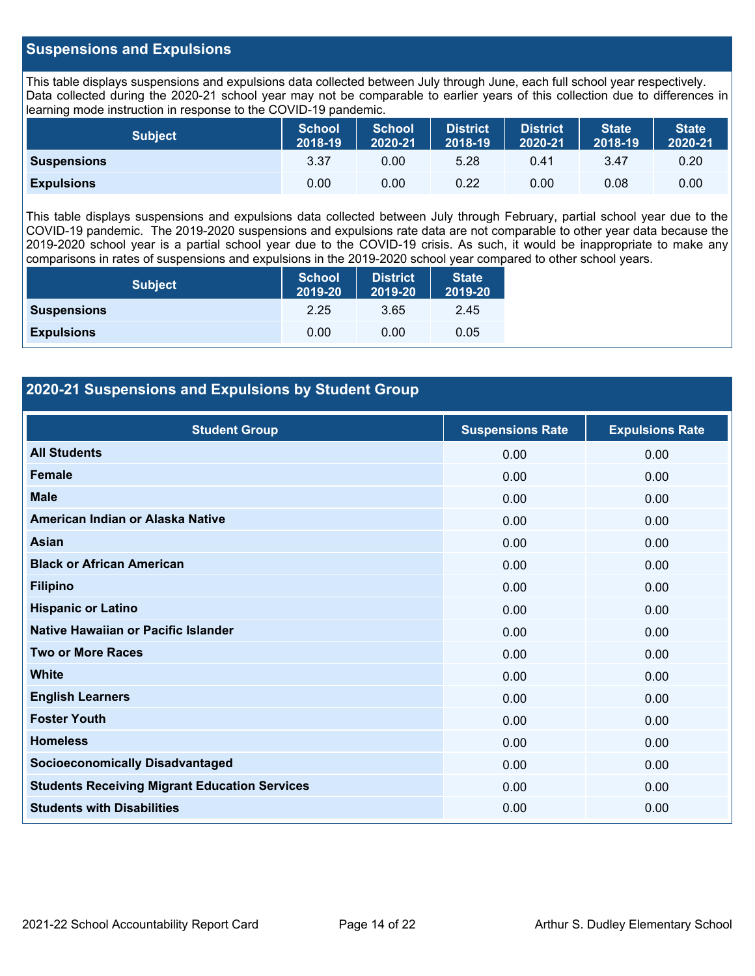## **Suspensions and Expulsions**

This table displays suspensions and expulsions data collected between July through June, each full school year respectively. Data collected during the 2020-21 school year may not be comparable to earlier years of this collection due to differences in learning mode instruction in response to the COVID-19 pandemic.

| <b>Subject</b>     | <b>School</b><br>2018-19 | <b>School</b><br>2020-21 | <b>District</b><br>2018-19 | <b>District</b><br>2020-21 | <b>State</b><br>2018-19 | <b>State</b><br>2020-21 |
|--------------------|--------------------------|--------------------------|----------------------------|----------------------------|-------------------------|-------------------------|
| <b>Suspensions</b> | 3.37                     | 0.00                     | 5.28                       | 0.41                       | 3.47                    | 0.20                    |
| <b>Expulsions</b>  | 0.00                     | 0.00                     | 0.22                       | 0.00                       | 0.08                    | 0.00                    |

This table displays suspensions and expulsions data collected between July through February, partial school year due to the COVID-19 pandemic. The 2019-2020 suspensions and expulsions rate data are not comparable to other year data because the 2019-2020 school year is a partial school year due to the COVID-19 crisis. As such, it would be inappropriate to make any comparisons in rates of suspensions and expulsions in the 2019-2020 school year compared to other school years.

| <b>Subject</b>     | <b>School</b><br>2019-20 | <b>District</b><br>2019-20 | <b>State</b><br>2019-20 |
|--------------------|--------------------------|----------------------------|-------------------------|
| <b>Suspensions</b> | 2.25                     | 3.65                       | 2.45                    |
| <b>Expulsions</b>  | 0.00                     | 0.00                       | 0.05                    |

## **2020-21 Suspensions and Expulsions by Student Group**

| <b>Student Group</b>                                 | <b>Suspensions Rate</b> | <b>Expulsions Rate</b> |
|------------------------------------------------------|-------------------------|------------------------|
| <b>All Students</b>                                  | 0.00                    | 0.00                   |
| <b>Female</b>                                        | 0.00                    | 0.00                   |
| <b>Male</b>                                          | 0.00                    | 0.00                   |
| American Indian or Alaska Native                     | 0.00                    | 0.00                   |
| Asian                                                | 0.00                    | 0.00                   |
| <b>Black or African American</b>                     | 0.00                    | 0.00                   |
| <b>Filipino</b>                                      | 0.00                    | 0.00                   |
| <b>Hispanic or Latino</b>                            | 0.00                    | 0.00                   |
| Native Hawaiian or Pacific Islander                  | 0.00                    | 0.00                   |
| <b>Two or More Races</b>                             | 0.00                    | 0.00                   |
| <b>White</b>                                         | 0.00                    | 0.00                   |
| <b>English Learners</b>                              | 0.00                    | 0.00                   |
| <b>Foster Youth</b>                                  | 0.00                    | 0.00                   |
| <b>Homeless</b>                                      | 0.00                    | 0.00                   |
| <b>Socioeconomically Disadvantaged</b>               | 0.00                    | 0.00                   |
| <b>Students Receiving Migrant Education Services</b> | 0.00                    | 0.00                   |
| <b>Students with Disabilities</b>                    | 0.00                    | 0.00                   |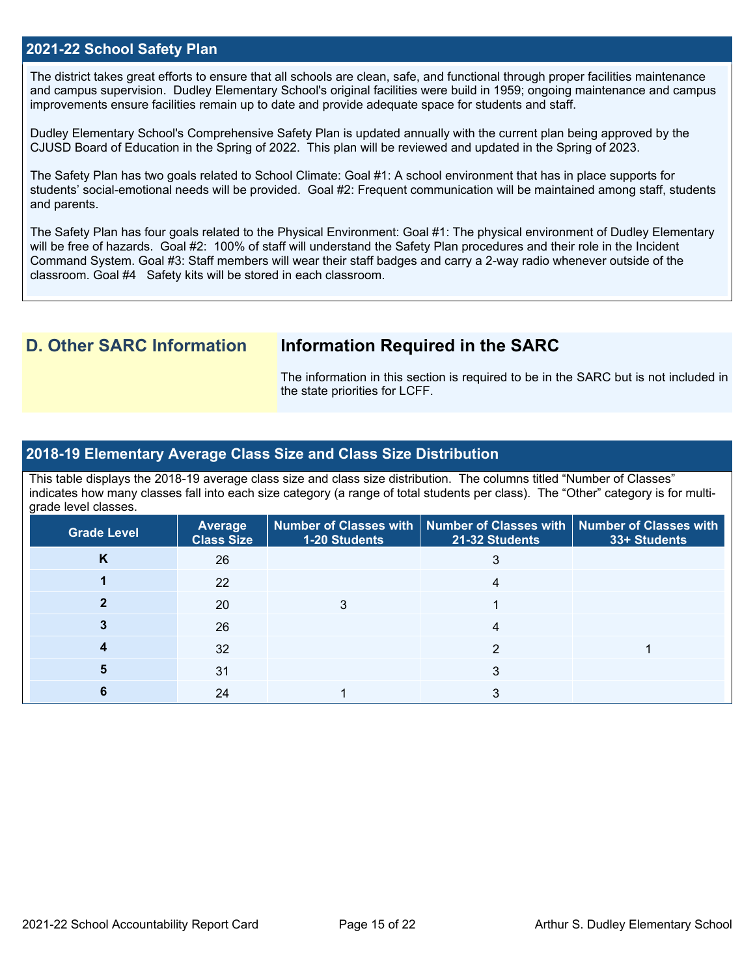#### **2021-22 School Safety Plan**

The district takes great efforts to ensure that all schools are clean, safe, and functional through proper facilities maintenance and campus supervision. Dudley Elementary School's original facilities were build in 1959; ongoing maintenance and campus improvements ensure facilities remain up to date and provide adequate space for students and staff.

Dudley Elementary School's Comprehensive Safety Plan is updated annually with the current plan being approved by the CJUSD Board of Education in the Spring of 2022. This plan will be reviewed and updated in the Spring of 2023.

The Safety Plan has two goals related to School Climate: Goal #1: A school environment that has in place supports for students' social-emotional needs will be provided. Goal #2: Frequent communication will be maintained among staff, students and parents.

The Safety Plan has four goals related to the Physical Environment: Goal #1: The physical environment of Dudley Elementary will be free of hazards. Goal #2: 100% of staff will understand the Safety Plan procedures and their role in the Incident Command System. Goal #3: Staff members will wear their staff badges and carry a 2-way radio whenever outside of the classroom. Goal #4 Safety kits will be stored in each classroom.

## **D. Other SARC Information Information Required in the SARC**

The information in this section is required to be in the SARC but is not included in the state priorities for LCFF.

#### **2018-19 Elementary Average Class Size and Class Size Distribution**

This table displays the 2018-19 average class size and class size distribution. The columns titled "Number of Classes" indicates how many classes fall into each size category (a range of total students per class). The "Other" category is for multigrade level classes.

| <b>Grade Level</b> | <b>Average</b><br><b>Class Size</b> | 1-20 Students | Number of Classes with   Number of Classes with   Number of Classes with<br>21-32 Students | 33+ Students |
|--------------------|-------------------------------------|---------------|--------------------------------------------------------------------------------------------|--------------|
| K                  | 26                                  |               |                                                                                            |              |
|                    | 22                                  |               |                                                                                            |              |
|                    | <b>20</b>                           |               |                                                                                            |              |
|                    | 26                                  |               |                                                                                            |              |
|                    | 32                                  |               |                                                                                            |              |
|                    | 31                                  |               | 3                                                                                          |              |
|                    | 24                                  |               |                                                                                            |              |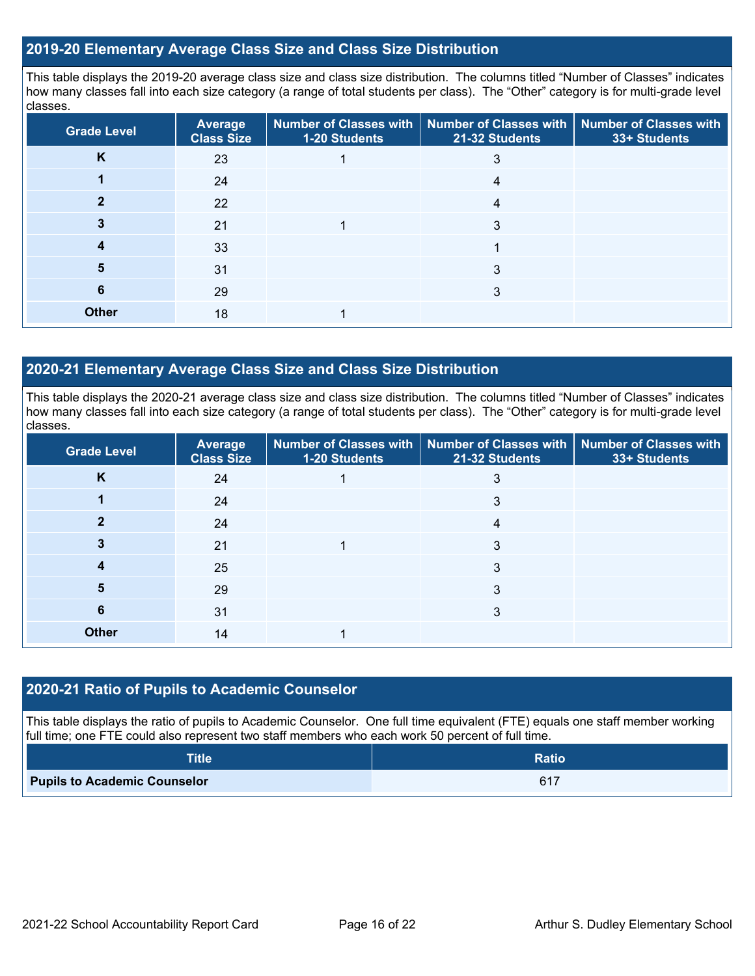## **2019-20 Elementary Average Class Size and Class Size Distribution**

This table displays the 2019-20 average class size and class size distribution. The columns titled "Number of Classes" indicates how many classes fall into each size category (a range of total students per class). The "Other" category is for multi-grade level classes.

| <b>Grade Level</b> | Average<br><b>Class Size</b> | 1-20 Students | Number of Classes with   Number of Classes with  <br>21-32 Students | <b>Number of Classes with</b><br>33+ Students |
|--------------------|------------------------------|---------------|---------------------------------------------------------------------|-----------------------------------------------|
| K                  | 23                           |               |                                                                     |                                               |
|                    | 24                           |               |                                                                     |                                               |
|                    | 22                           |               | 4                                                                   |                                               |
|                    | 21                           |               | 3                                                                   |                                               |
|                    | 33                           |               |                                                                     |                                               |
| 5                  | 31                           |               | 3                                                                   |                                               |
| 6                  | 29                           |               | 3                                                                   |                                               |
| <b>Other</b>       | 18                           |               |                                                                     |                                               |

## **2020-21 Elementary Average Class Size and Class Size Distribution**

This table displays the 2020-21 average class size and class size distribution. The columns titled "Number of Classes" indicates how many classes fall into each size category (a range of total students per class). The "Other" category is for multi-grade level classes.

| <b>Grade Level</b> | <b>Average</b><br><b>Class Size</b> | 1-20 Students | Number of Classes with   Number of Classes with   Number of Classes with<br>21-32 Students | 33+ Students |
|--------------------|-------------------------------------|---------------|--------------------------------------------------------------------------------------------|--------------|
| K                  | 24                                  |               |                                                                                            |              |
|                    | 24                                  |               | 3                                                                                          |              |
|                    | 24                                  |               | 4                                                                                          |              |
|                    | 21                                  |               | 3                                                                                          |              |
|                    | 25                                  |               | 3                                                                                          |              |
| 5                  | 29                                  |               | 3                                                                                          |              |
| 6                  | 31                                  |               | 3                                                                                          |              |
| <b>Other</b>       | 14                                  |               |                                                                                            |              |

#### **2020-21 Ratio of Pupils to Academic Counselor**

This table displays the ratio of pupils to Academic Counselor. One full time equivalent (FTE) equals one staff member working full time; one FTE could also represent two staff members who each work 50 percent of full time.

| <b>Title</b>                        | <b>Ratio</b> |
|-------------------------------------|--------------|
| <b>Pupils to Academic Counselor</b> | 617          |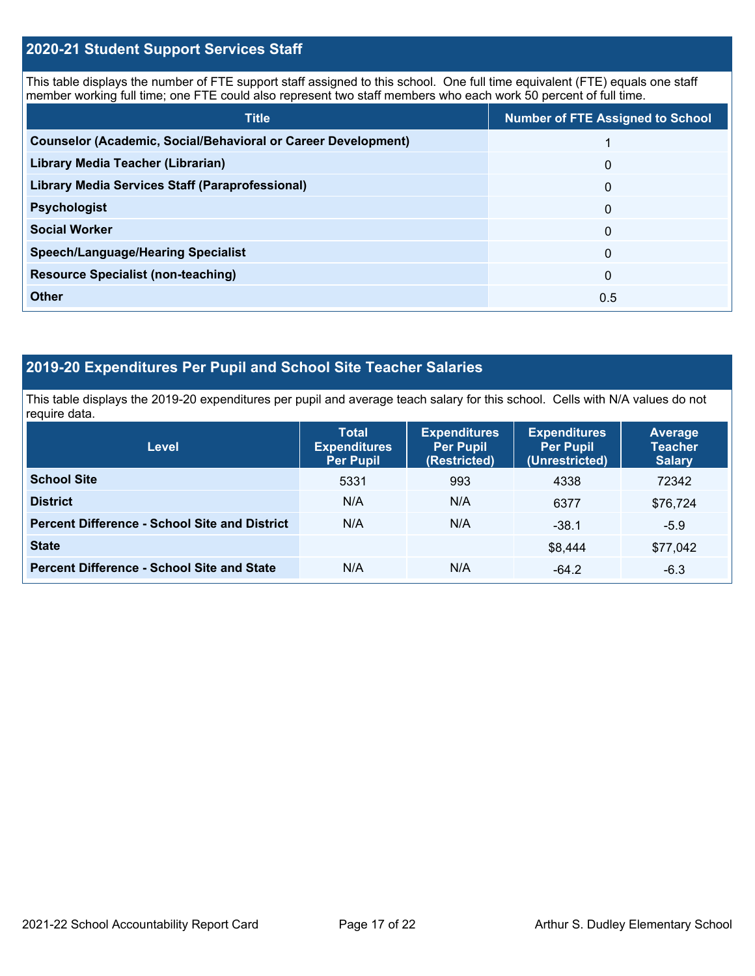## **2020-21 Student Support Services Staff**

This table displays the number of FTE support staff assigned to this school. One full time equivalent (FTE) equals one staff member working full time; one FTE could also represent two staff members who each work 50 percent of full time.

| <b>Title</b>                                                         | <b>Number of FTE Assigned to School</b> |
|----------------------------------------------------------------------|-----------------------------------------|
| <b>Counselor (Academic, Social/Behavioral or Career Development)</b> |                                         |
| Library Media Teacher (Librarian)                                    | $\Omega$                                |
| <b>Library Media Services Staff (Paraprofessional)</b>               | $\Omega$                                |
| <b>Psychologist</b>                                                  | 0                                       |
| <b>Social Worker</b>                                                 | 0                                       |
| <b>Speech/Language/Hearing Specialist</b>                            | 0                                       |
| <b>Resource Specialist (non-teaching)</b>                            | 0                                       |
| <b>Other</b>                                                         | 0.5                                     |

## **2019-20 Expenditures Per Pupil and School Site Teacher Salaries**

This table displays the 2019-20 expenditures per pupil and average teach salary for this school. Cells with N/A values do not require data.

| <b>Level</b>                                         | <b>Total</b><br><b>Expenditures</b><br><b>Per Pupil</b> | <b>Expenditures</b><br><b>Per Pupil</b><br>(Restricted) | <b>Expenditures</b><br><b>Per Pupil</b><br>(Unrestricted) | <b>Average</b><br><b>Teacher</b><br><b>Salary</b> |  |
|------------------------------------------------------|---------------------------------------------------------|---------------------------------------------------------|-----------------------------------------------------------|---------------------------------------------------|--|
| <b>School Site</b>                                   | 5331                                                    | 993                                                     | 4338                                                      | 72342                                             |  |
| <b>District</b>                                      | N/A                                                     | N/A                                                     | 6377                                                      | \$76,724                                          |  |
| <b>Percent Difference - School Site and District</b> | N/A                                                     | N/A                                                     | $-38.1$                                                   | $-5.9$                                            |  |
| <b>State</b>                                         |                                                         |                                                         | \$8,444                                                   | \$77,042                                          |  |
| <b>Percent Difference - School Site and State</b>    | N/A                                                     | N/A                                                     | $-64.2$                                                   | $-6.3$                                            |  |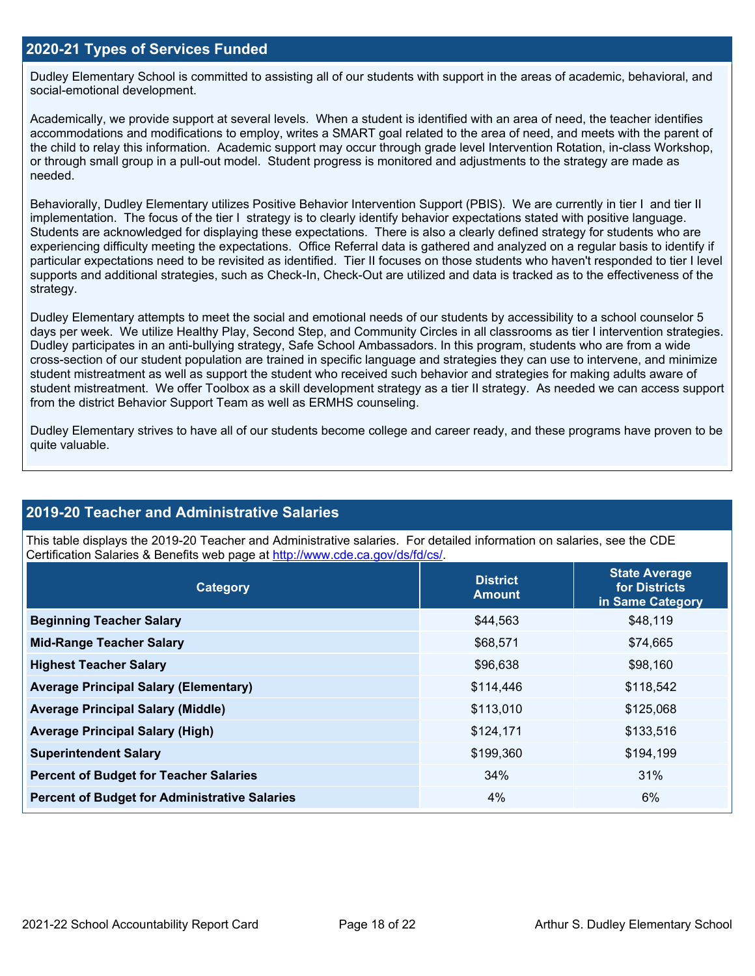### **2020-21 Types of Services Funded**

Dudley Elementary School is committed to assisting all of our students with support in the areas of academic, behavioral, and social-emotional development.

Academically, we provide support at several levels. When a student is identified with an area of need, the teacher identifies accommodations and modifications to employ, writes a SMART goal related to the area of need, and meets with the parent of the child to relay this information. Academic support may occur through grade level Intervention Rotation, in-class Workshop, or through small group in a pull-out model. Student progress is monitored and adjustments to the strategy are made as needed.

Behaviorally, Dudley Elementary utilizes Positive Behavior Intervention Support (PBIS). We are currently in tier I and tier II implementation. The focus of the tier I strategy is to clearly identify behavior expectations stated with positive language. Students are acknowledged for displaying these expectations. There is also a clearly defined strategy for students who are experiencing difficulty meeting the expectations. Office Referral data is gathered and analyzed on a regular basis to identify if particular expectations need to be revisited as identified. Tier II focuses on those students who haven't responded to tier I level supports and additional strategies, such as Check-In, Check-Out are utilized and data is tracked as to the effectiveness of the strategy.

Dudley Elementary attempts to meet the social and emotional needs of our students by accessibility to a school counselor 5 days per week. We utilize Healthy Play, Second Step, and Community Circles in all classrooms as tier I intervention strategies. Dudley participates in an anti-bullying strategy, Safe School Ambassadors. In this program, students who are from a wide cross-section of our student population are trained in specific language and strategies they can use to intervene, and minimize student mistreatment as well as support the student who received such behavior and strategies for making adults aware of student mistreatment. We offer Toolbox as a skill development strategy as a tier II strategy. As needed we can access support from the district Behavior Support Team as well as ERMHS counseling.

Dudley Elementary strives to have all of our students become college and career ready, and these programs have proven to be quite valuable.

## **2019-20 Teacher and Administrative Salaries**

This table displays the 2019-20 Teacher and Administrative salaries. For detailed information on salaries, see the CDE Certification Salaries & Benefits web page at [http://www.cde.ca.gov/ds/fd/cs/.](http://www.cde.ca.gov/ds/fd/cs/)

| Category                                             | <b>District</b><br><b>Amount</b> | <b>State Average</b><br>for Districts<br>in Same Category |
|------------------------------------------------------|----------------------------------|-----------------------------------------------------------|
| <b>Beginning Teacher Salary</b>                      | \$44,563                         | \$48,119                                                  |
| <b>Mid-Range Teacher Salary</b>                      | \$68,571                         | \$74,665                                                  |
| <b>Highest Teacher Salary</b>                        | \$96,638                         | \$98,160                                                  |
| <b>Average Principal Salary (Elementary)</b>         | \$114,446                        | \$118,542                                                 |
| <b>Average Principal Salary (Middle)</b>             | \$113,010                        | \$125,068                                                 |
| <b>Average Principal Salary (High)</b>               | \$124,171                        | \$133,516                                                 |
| <b>Superintendent Salary</b>                         | \$199,360                        | \$194,199                                                 |
| <b>Percent of Budget for Teacher Salaries</b>        | 34%                              | 31%                                                       |
| <b>Percent of Budget for Administrative Salaries</b> | 4%                               | 6%                                                        |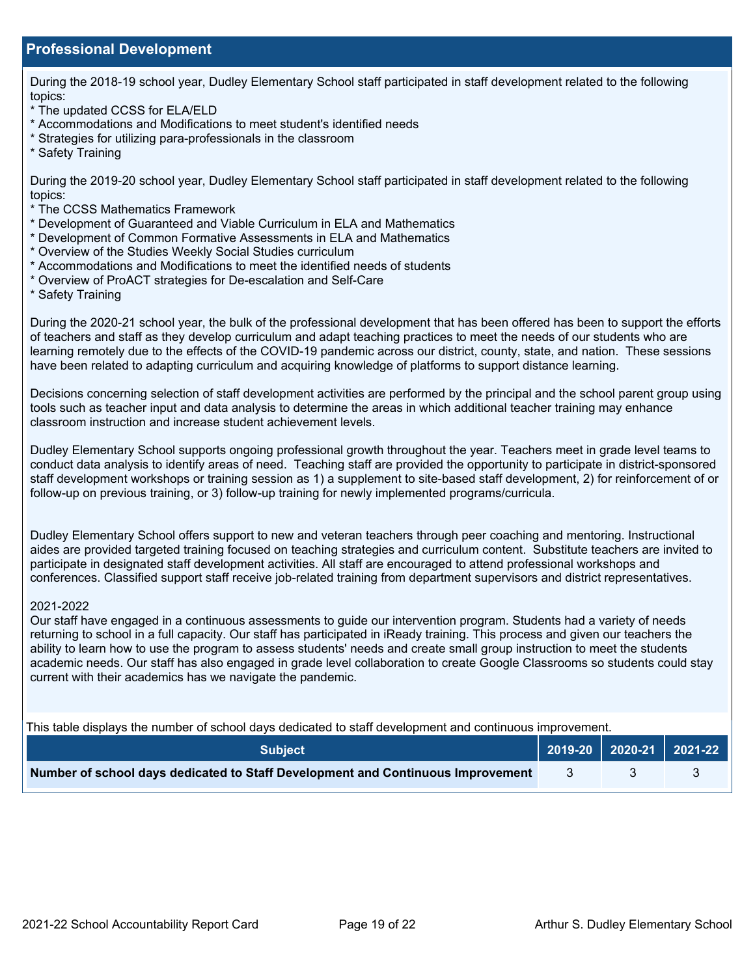## **Professional Development**

During the 2018-19 school year, Dudley Elementary School staff participated in staff development related to the following topics:

- \* The updated CCSS for ELA/ELD
- \* Accommodations and Modifications to meet student's identified needs
- \* Strategies for utilizing para-professionals in the classroom
- \* Safety Training

During the 2019-20 school year, Dudley Elementary School staff participated in staff development related to the following topics:

- \* The CCSS Mathematics Framework
- \* Development of Guaranteed and Viable Curriculum in ELA and Mathematics
- \* Development of Common Formative Assessments in ELA and Mathematics
- \* Overview of the Studies Weekly Social Studies curriculum
- \* Accommodations and Modifications to meet the identified needs of students
- \* Overview of ProACT strategies for De-escalation and Self-Care
- \* Safety Training

During the 2020-21 school year, the bulk of the professional development that has been offered has been to support the efforts of teachers and staff as they develop curriculum and adapt teaching practices to meet the needs of our students who are learning remotely due to the effects of the COVID-19 pandemic across our district, county, state, and nation. These sessions have been related to adapting curriculum and acquiring knowledge of platforms to support distance learning.

Decisions concerning selection of staff development activities are performed by the principal and the school parent group using tools such as teacher input and data analysis to determine the areas in which additional teacher training may enhance classroom instruction and increase student achievement levels.

Dudley Elementary School supports ongoing professional growth throughout the year. Teachers meet in grade level teams to conduct data analysis to identify areas of need. Teaching staff are provided the opportunity to participate in district-sponsored staff development workshops or training session as 1) a supplement to site-based staff development, 2) for reinforcement of or follow-up on previous training, or 3) follow-up training for newly implemented programs/curricula.

Dudley Elementary School offers support to new and veteran teachers through peer coaching and mentoring. Instructional aides are provided targeted training focused on teaching strategies and curriculum content. Substitute teachers are invited to participate in designated staff development activities. All staff are encouraged to attend professional workshops and conferences. Classified support staff receive job-related training from department supervisors and district representatives.

#### 2021-2022

Our staff have engaged in a continuous assessments to guide our intervention program. Students had a variety of needs returning to school in a full capacity. Our staff has participated in iReady training. This process and given our teachers the ability to learn how to use the program to assess students' needs and create small group instruction to meet the students academic needs. Our staff has also engaged in grade level collaboration to create Google Classrooms so students could stay current with their academics has we navigate the pandemic.

This table displays the number of school days dedicated to staff development and continuous improvement.

| <b>Subiect</b>                                                                  | 2019-20   2020-21   2021-22 |  |
|---------------------------------------------------------------------------------|-----------------------------|--|
| Number of school days dedicated to Staff Development and Continuous Improvement |                             |  |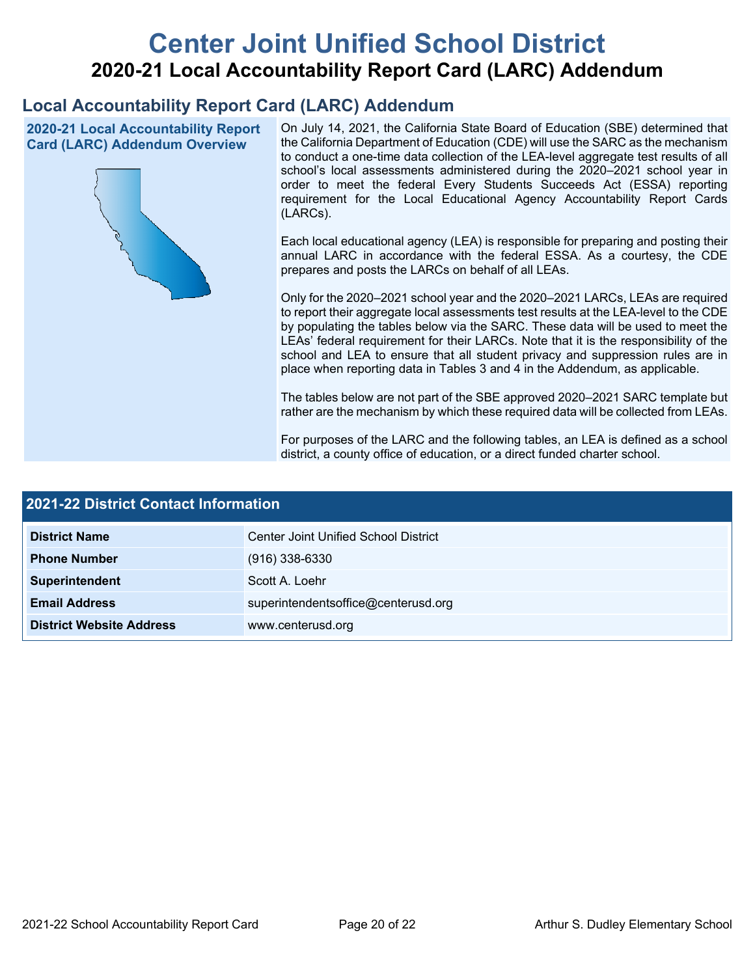# **Center Joint Unified School District 2020-21 Local Accountability Report Card (LARC) Addendum**

## **Local Accountability Report Card (LARC) Addendum**

**2020-21 Local Accountability Report Card (LARC) Addendum Overview**



On July 14, 2021, the California State Board of Education (SBE) determined that the California Department of Education (CDE) will use the SARC as the mechanism to conduct a one-time data collection of the LEA-level aggregate test results of all school's local assessments administered during the 2020–2021 school year in order to meet the federal Every Students Succeeds Act (ESSA) reporting requirement for the Local Educational Agency Accountability Report Cards (LARCs).

Each local educational agency (LEA) is responsible for preparing and posting their annual LARC in accordance with the federal ESSA. As a courtesy, the CDE prepares and posts the LARCs on behalf of all LEAs.

Only for the 2020–2021 school year and the 2020–2021 LARCs, LEAs are required to report their aggregate local assessments test results at the LEA-level to the CDE by populating the tables below via the SARC. These data will be used to meet the LEAs' federal requirement for their LARCs. Note that it is the responsibility of the school and LEA to ensure that all student privacy and suppression rules are in place when reporting data in Tables 3 and 4 in the Addendum, as applicable.

The tables below are not part of the SBE approved 2020–2021 SARC template but rather are the mechanism by which these required data will be collected from LEAs.

For purposes of the LARC and the following tables, an LEA is defined as a school district, a county office of education, or a direct funded charter school.

| <b>2021-22 District Contact Information</b> |                                      |  |  |  |
|---------------------------------------------|--------------------------------------|--|--|--|
| <b>District Name</b>                        | Center Joint Unified School District |  |  |  |
| <b>Phone Number</b>                         | $(916)$ 338-6330                     |  |  |  |
| Superintendent                              | Scott A. Loehr                       |  |  |  |
| <b>Email Address</b>                        | superintendentsoffice@centerusd.org  |  |  |  |
| <b>District Website Address</b>             | www.centerusd.org                    |  |  |  |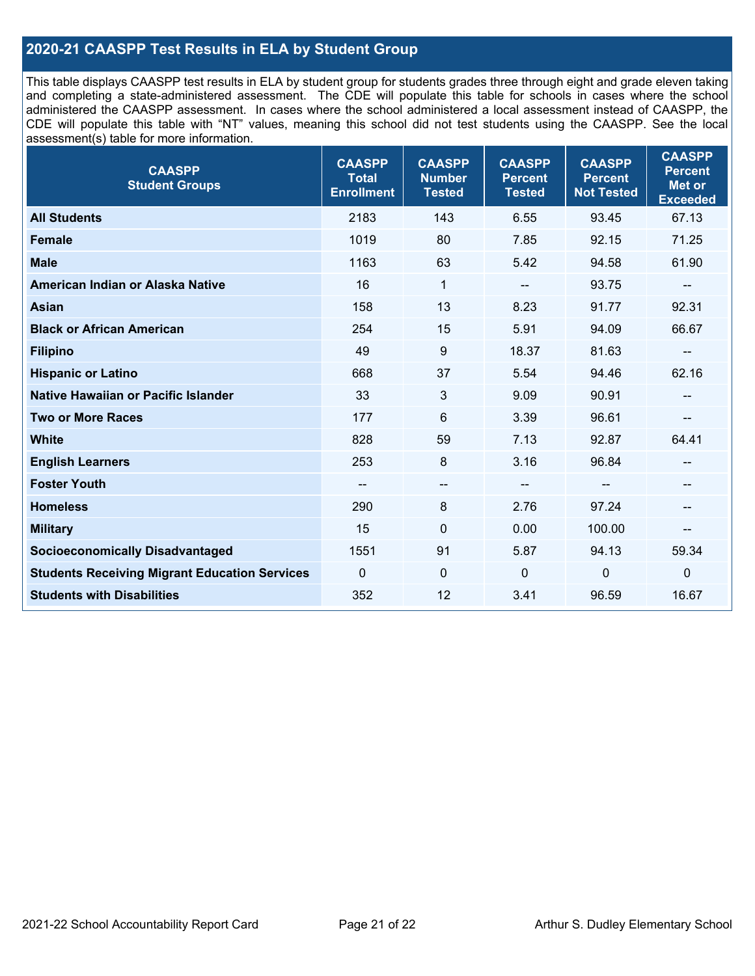## **2020-21 CAASPP Test Results in ELA by Student Group**

This table displays CAASPP test results in ELA by student group for students grades three through eight and grade eleven taking and completing a state-administered assessment. The CDE will populate this table for schools in cases where the school administered the CAASPP assessment. In cases where the school administered a local assessment instead of CAASPP, the CDE will populate this table with "NT" values, meaning this school did not test students using the CAASPP. See the local assessment(s) table for more information.

| <b>CAASPP</b><br><b>Student Groups</b>               | <b>CAASPP</b><br><b>Total</b><br><b>Enrollment</b> | <b>CAASPP</b><br><b>Number</b><br><b>Tested</b> | <b>CAASPP</b><br><b>Percent</b><br><b>Tested</b> | <b>CAASPP</b><br><b>Percent</b><br><b>Not Tested</b> | <b>CAASPP</b><br><b>Percent</b><br>Met or<br><b>Exceeded</b> |
|------------------------------------------------------|----------------------------------------------------|-------------------------------------------------|--------------------------------------------------|------------------------------------------------------|--------------------------------------------------------------|
| <b>All Students</b>                                  | 2183                                               | 143                                             | 6.55                                             | 93.45                                                | 67.13                                                        |
| <b>Female</b>                                        | 1019                                               | 80                                              | 7.85                                             | 92.15                                                | 71.25                                                        |
| <b>Male</b>                                          | 1163                                               | 63                                              | 5.42                                             | 94.58                                                | 61.90                                                        |
| American Indian or Alaska Native                     | 16                                                 | 1                                               | --                                               | 93.75                                                | $\qquad \qquad -$                                            |
| <b>Asian</b>                                         | 158                                                | 13                                              | 8.23                                             | 91.77                                                | 92.31                                                        |
| <b>Black or African American</b>                     | 254                                                | 15                                              | 5.91                                             | 94.09                                                | 66.67                                                        |
| <b>Filipino</b>                                      | 49                                                 | 9                                               | 18.37                                            | 81.63                                                | --                                                           |
| <b>Hispanic or Latino</b>                            | 668                                                | 37                                              | 5.54                                             | 94.46                                                | 62.16                                                        |
| Native Hawaiian or Pacific Islander                  | 33                                                 | 3                                               | 9.09                                             | 90.91                                                | $-$                                                          |
| <b>Two or More Races</b>                             | 177                                                | 6                                               | 3.39                                             | 96.61                                                | --                                                           |
| <b>White</b>                                         | 828                                                | 59                                              | 7.13                                             | 92.87                                                | 64.41                                                        |
| <b>English Learners</b>                              | 253                                                | 8                                               | 3.16                                             | 96.84                                                |                                                              |
| <b>Foster Youth</b>                                  | $\sim$                                             | $\hspace{0.05cm}$ – $\hspace{0.05cm}$           | --                                               | $-$                                                  | --                                                           |
| <b>Homeless</b>                                      | 290                                                | 8                                               | 2.76                                             | 97.24                                                | --                                                           |
| <b>Military</b>                                      | 15                                                 | $\mathbf 0$                                     | 0.00                                             | 100.00                                               | --                                                           |
| <b>Socioeconomically Disadvantaged</b>               | 1551                                               | 91                                              | 5.87                                             | 94.13                                                | 59.34                                                        |
| <b>Students Receiving Migrant Education Services</b> | $\mathbf{0}$                                       | $\mathbf{0}$                                    | $\mathbf 0$                                      | $\overline{0}$                                       | $\mathbf 0$                                                  |
| <b>Students with Disabilities</b>                    | 352                                                | 12                                              | 3.41                                             | 96.59                                                | 16.67                                                        |